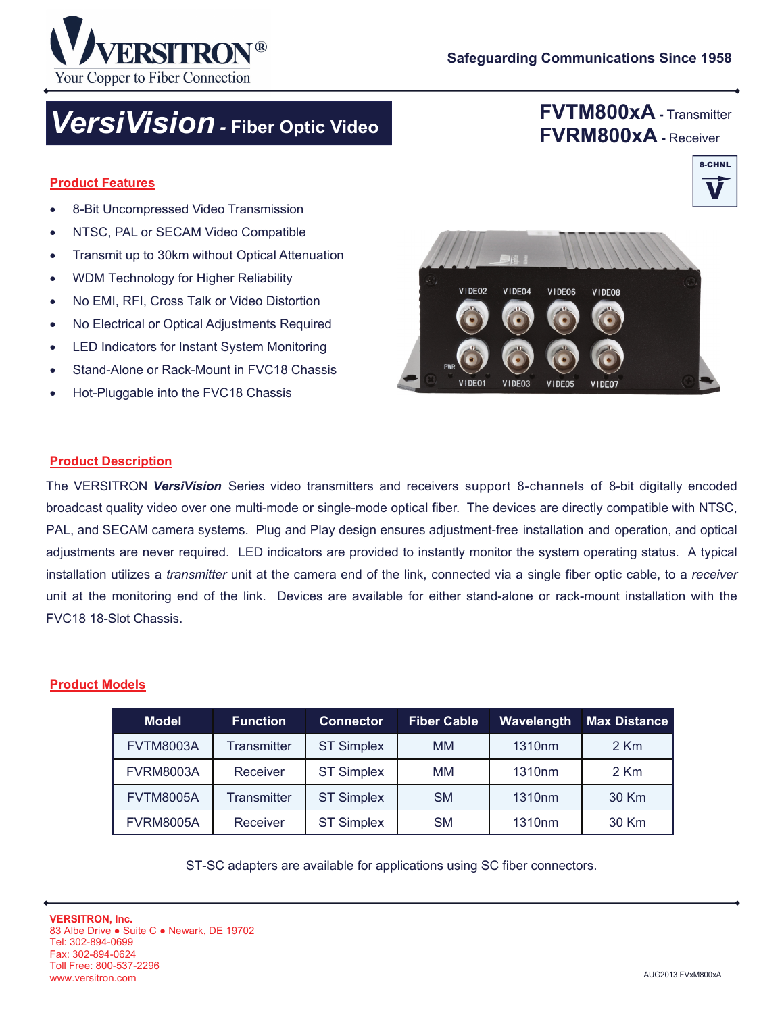

## **FVTM800xA -** Transmitter **FVRM800xA -** Receiver

V

8-CHNL

#### **Product Features**

• 8-Bit Uncompressed Video Transmission

Your Copper to Fiber Connection

- NTSC, PAL or SECAM Video Compatible
- Transmit up to 30km without Optical Attenuation
- WDM Technology for Higher Reliability
- No EMI, RFI, Cross Talk or Video Distortion
- No Electrical or Optical Adjustments Required
- LED Indicators for Instant System Monitoring
- Stand-Alone or Rack-Mount in FVC18 Chassis
- Hot-Pluggable into the FVC18 Chassis



#### **Product Description**

The VERSITRON *VersiVision* Series video transmitters and receivers support 8-channels of 8-bit digitally encoded broadcast quality video over one multi-mode or single-mode optical fiber. The devices are directly compatible with NTSC, PAL, and SECAM camera systems. Plug and Play design ensures adjustment-free installation and operation, and optical adjustments are never required. LED indicators are provided to instantly monitor the system operating status. A typical installation utilizes a *transmitter* unit at the camera end of the link, connected via a single fiber optic cable, to a *receiver* unit at the monitoring end of the link. Devices are available for either stand-alone or rack-mount installation with the FVC18 18-Slot Chassis.

#### **Product Models**

| <b>Model</b>     | <b>Function</b>    | <b>Connector</b>  | <b>Fiber Cable</b> | <b>Wavelength</b>  | <b>Max Distance</b> |
|------------------|--------------------|-------------------|--------------------|--------------------|---------------------|
| <b>FVTM8003A</b> | <b>Transmitter</b> | <b>ST Simplex</b> | MМ                 | 1310 <sub>nm</sub> | $2$ Km              |
| <b>FVRM8003A</b> | Receiver           | <b>ST Simplex</b> | MМ                 | 1310 <sub>nm</sub> | $2$ Km              |
| <b>FVTM8005A</b> | <b>Transmitter</b> | <b>ST Simplex</b> | <b>SM</b>          | 1310 <sub>nm</sub> | 30 Km               |
| <b>FVRM8005A</b> | Receiver           | <b>ST Simplex</b> | <b>SM</b>          | 1310nm             | 30 Km               |

ST-SC adapters are available for applications using SC fiber connectors.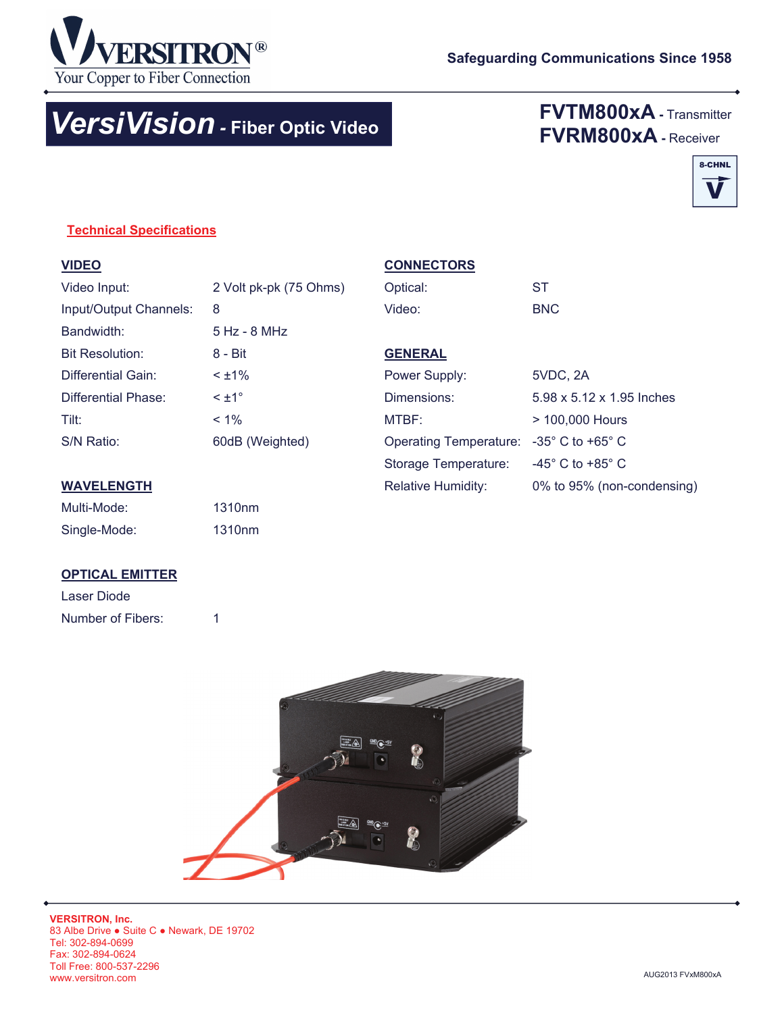

# *VersiVision -* **Fiber Optic Video**

## **FVTM800xA -** Transmitter **FVRM800xA -** Receiver



### **Technical Specifications**

| Video Input:           | 2 Volt pk-pk (75 Ohms) |
|------------------------|------------------------|
| Input/Output Channels: | 8                      |
| Bandwidth:             | 5 Hz - 8 MHz           |
| <b>Bit Resolution:</b> | 8 - Bit                |
| Differential Gain:     | $< +1\%$               |
| Differential Phase:    | $\leq \pm 1^{\circ}$   |
| Tilt:                  | $< 1\%$                |
| S/N Ratio:             | 60dB (Weighted)        |
|                        |                        |

#### **CONNECTORS**

| Optical: | -ST        |
|----------|------------|
| Video:   | <b>BNC</b> |

## **GENERAL**

| Power Supply:                                              | 5VDC, 2A                           |
|------------------------------------------------------------|------------------------------------|
| Dimensions:                                                | 5.98 x 5.12 x 1.95 Inches          |
| MTBF:                                                      | > 100,000 Hours                    |
| Operating Temperature: $-35^{\circ}$ C to +65 $^{\circ}$ C |                                    |
| Storage Temperature:                                       | $-45^{\circ}$ C to $+85^{\circ}$ C |
| <b>Relative Humidity:</b>                                  | 0% to 95% (non-condensing)         |

#### **WAVELENGTH**

| Multi-Mode:  | 1310 <sub>nm</sub> |
|--------------|--------------------|
| Single-Mode: | 1310 <sub>nm</sub> |

### **OPTICAL EMITTER**

| Laser Diode       |  |
|-------------------|--|
| Number of Fibers: |  |